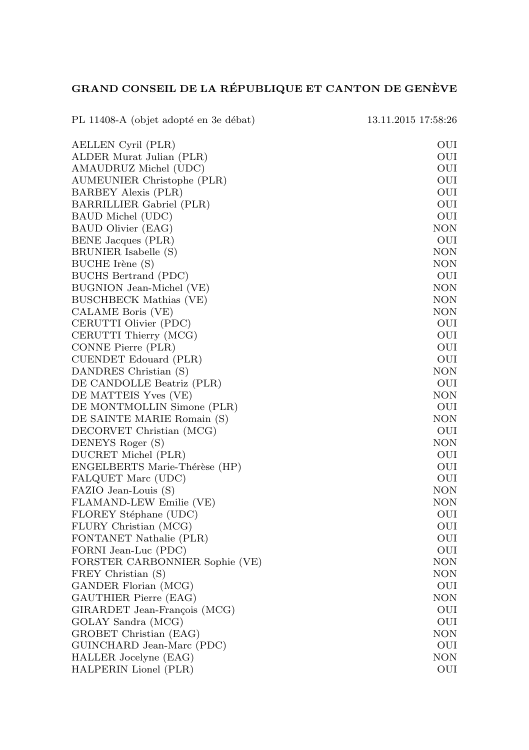## GRAND CONSEIL DE LA RÉPUBLIQUE ET CANTON DE GENÈVE

| PL 11408-A (objet adopté en 3e débat)          | 13.11.2015 17:58:26 |
|------------------------------------------------|---------------------|
| AELLEN Cyril (PLR)                             | OUI                 |
| ALDER Murat Julian (PLR)                       | OUI                 |
| AMAUDRUZ Michel (UDC)                          | OUI                 |
| AUMEUNIER Christophe (PLR)                     | OUI                 |
| BARBEY Alexis (PLR)                            | OUI                 |
| BARRILLIER Gabriel (PLR)                       | OUI                 |
| BAUD Michel (UDC)                              | OUI                 |
| BAUD Olivier (EAG)                             | NON                 |
| BENE Jacques (PLR)                             | OUI                 |
| BRUNIER Isabelle (S)                           | NON                 |
| BUCHE Irène (S)                                | <b>NON</b>          |
| BUCHS Bertrand (PDC)                           | OUI                 |
| BUGNION Jean-Michel (VE)                       | NON                 |
| BUSCHBECK Mathias (VE)                         | NON                 |
| CALAME Boris (VE)                              | <b>NON</b>          |
| CERUTTI Olivier (PDC)                          | OUI                 |
| CERUTTI Thierry (MCG)                          | OUI                 |
| CONNE Pierre (PLR)                             | OUI                 |
| CUENDET Edouard (PLR)                          | OUI                 |
| DANDRES Christian (S)                          | <b>NON</b>          |
| DE CANDOLLE Beatriz (PLR)                      | OUI                 |
| DE MATTEIS Yves (VE)                           | NON                 |
| DE MONTMOLLIN Simone (PLR)                     | OUI                 |
| DE SAINTE MARIE Romain (S)                     | NON                 |
| DECORVET Christian (MCG)                       | OUI                 |
| DENEYS Roger (S)                               | <b>NON</b>          |
| DUCRET Michel (PLR)                            | OUI                 |
| ENGELBERTS Marie-Thérèse (HP)                  | OUI                 |
| FALQUET Marc (UDC)                             | OUI                 |
| FAZIO Jean-Louis (S)                           | NON<br>NON          |
| FLAMAND-LEW Emilie (VE)                        | OUI                 |
| FLOREY Stéphane (UDC)<br>FLURY Christian (MCG) | OUI                 |
| FONTANET Nathalie (PLR)                        | OUI                 |
| FORNI Jean-Luc (PDC)                           | OUI                 |
| FORSTER CARBONNIER Sophie (VE)                 | NON                 |
| FREY Christian (S)                             | NON                 |
| GANDER Florian (MCG)                           | OUI                 |
| GAUTHIER Pierre (EAG)                          | NON                 |
| GIRARDET Jean-François (MCG)                   | OUI                 |
| GOLAY Sandra (MCG)                             | OUI                 |
| GROBET Christian (EAG)                         | NON                 |
| GUINCHARD Jean-Marc (PDC)                      | OUI                 |
| HALLER Jocelyne (EAG)                          | NON                 |
| HALPERIN Lionel (PLR)                          | OUI                 |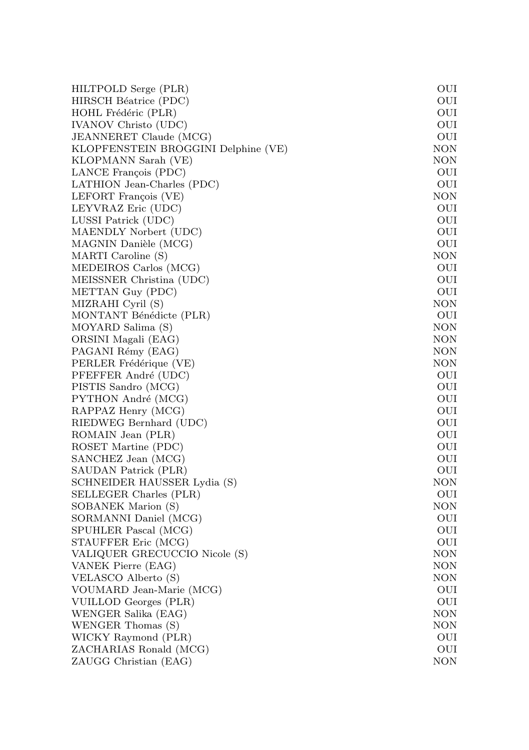| HILTPOLD Serge (PLR)                | OUI        |
|-------------------------------------|------------|
| HIRSCH Béatrice (PDC)               | OUI        |
| HOHL Frédéric (PLR)                 | OUI        |
| <b>IVANOV</b> Christo (UDC)         | OUI        |
| JEANNERET Claude (MCG)              | OUI        |
| KLOPFENSTEIN BROGGINI Delphine (VE) | NON        |
| KLOPMANN Sarah (VE)                 | <b>NON</b> |
| LANCE François (PDC)                | OUI        |
| LATHION Jean-Charles (PDC)          | OUI        |
| LEFORT François (VE)                | NON        |
| LEYVRAZ Eric (UDC)                  | OUI        |
| LUSSI Patrick (UDC)                 | OUI        |
| MAENDLY Norbert (UDC)               | OUI        |
| MAGNIN Danièle (MCG)                | OUI        |
| MARTI Caroline (S)                  | NON        |
| MEDEIROS Carlos (MCG)               | OUI        |
| MEISSNER Christina (UDC)            | OUI        |
| METTAN Guy (PDC)                    | OUI        |
| MIZRAHI Cyril (S)                   | NON        |
| MONTANT Bénédicte (PLR)             | OUI        |
| MOYARD Salima (S)                   | NON        |
| ORSINI Magali (EAG)                 | <b>NON</b> |
| PAGANI Rémy (EAG)                   | NON        |
| PERLER Frédérique (VE)              | NON        |
| PFEFFER André (UDC)                 | OUI        |
| PISTIS Sandro (MCG)                 | OUI        |
| PYTHON André (MCG)                  | OUI        |
| RAPPAZ Henry (MCG)                  | OUI        |
| RIEDWEG Bernhard (UDC)              | OUI        |
| ROMAIN Jean (PLR)                   | OUI        |
| ROSET Martine (PDC)                 | OUI        |
| SANCHEZ Jean (MCG)                  | OUI        |
| SAUDAN Patrick (PLR)                | OUI        |
| SCHNEIDER HAUSSER Lydia (S)         | NON        |
| SELLEGER Charles (PLR)              | OUI        |
| SOBANEK Marion (S)                  | <b>NON</b> |
| SORMANNI Daniel (MCG)               | OUI        |
| SPUHLER Pascal (MCG)                | OUI        |
| STAUFFER Eric (MCG)                 | OUI        |
| VALIQUER GRECUCCIO Nicole (S)       | <b>NON</b> |
| VANEK Pierre (EAG)                  | <b>NON</b> |
| VELASCO Alberto (S)                 | NON        |
| VOUMARD Jean-Marie (MCG)            | OUI        |
| VUILLOD Georges (PLR)               | OUI        |
| WENGER Salika (EAG)                 | NON        |
| WENGER Thomas (S)                   | <b>NON</b> |
| WICKY Raymond (PLR)                 | OUI        |
| ZACHARIAS Ronald (MCG)              | OUI        |
| ZAUGG Christian (EAG)               | NON        |
|                                     |            |